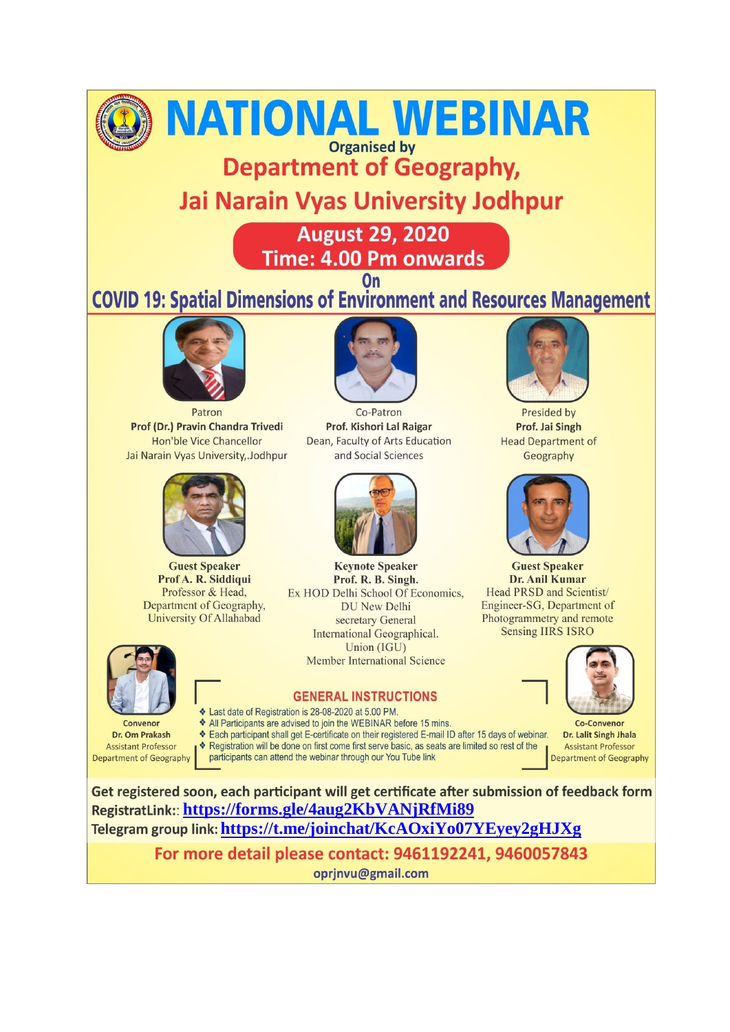

# NATIONAL WEBINAR

**Organised by Department of Geography,** 

## **Jai Narain Vyas University Jodhpur**

**August 29, 2020 Time: 4.00 Pm onwards** 

### $On$ **COVID 19: Spatial Dimensions of Environment and Resources Management**



Patron Prof (Dr.) Pravin Chandra Trivedi Hon'ble Vice Chancellor Jai Narain Vyas University, Jodhpur



**Guest Speaker** Prof A. R. Siddiqui Professor & Head, Department of Geography, **University Of Allahabad** 



Convenor Dr. Om Prakash **Assistant Professor** Department of Geography



Co-Patron Prof. Kishori Lal Raigar Dean, Faculty of Arts Education and Social Sciences



**Keynote Speaker** Prof. R. B. Singh. Ex HOD Delhi School Of Economics, **DU New Delhi** secretary General International Geographical. Union (IGU) **Member International Science** 

#### **GENERAL INSTRUCTIONS**

- Last date of Registration is 28-08-2020 at 5.00 PM.
- \* All Participants are advised to join the WEBINAR before 15 mins.
- Each participant shall get E-certificate on their registered E-mail ID after 15 days of webinar.

\* Registration will be done on first come first serve basic, as seats are limited so rest of the

participants can attend the webinar through our You Tube link



Presided by Prof. Jai Singh **Head Department of** Geography



**Guest Speaker** Dr. Anil Kumar Head PRSD and Scientist/ Engineer-SG, Department of Photogrammetry and remote **Sensing IIRS ISRO** 



**Co-Convenor** Dr. Lalit Singh Jhala **Assistant Professor** Department of Geography

Get registered soon, each participant will get certificate after submission of feedback form RegistratLink:: https://forms.gle/4aug2KbVANjRfMi89 Telegram group link: https://t.me/joinchat/KcAOxiYo07YEyey2gHJXg

> For more detail please contact: 9461192241, 9460057843 oprjnvu@gmail.com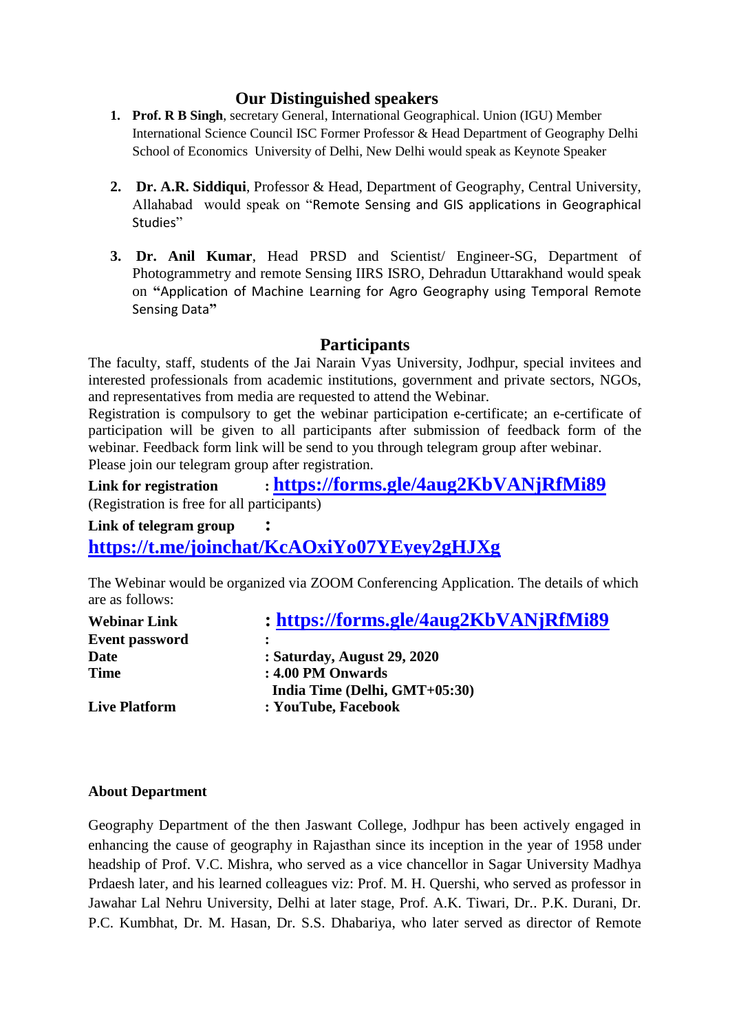#### **Our Distinguished speakers**

- **1. Prof. R B Singh**, secretary General, International Geographical. Union (IGU) Member International Science Council ISC Former Professor & Head Department of Geography Delhi School of Economics University of Delhi, New Delhi would speak as Keynote Speaker
- **2. Dr. A.R. Siddiqui**, Professor & Head, Department of Geography, Central University, Allahabad would speak on "Remote Sensing and GIS applications in Geographical Studies"
- **3. Dr. Anil Kumar**, Head PRSD and Scientist/ Engineer-SG, Department of Photogrammetry and remote Sensing IIRS ISRO, Dehradun Uttarakhand would speak on **"**Application of Machine Learning for Agro Geography using Temporal Remote Sensing Data**"**

#### **Participants**

The faculty, staff, students of the Jai Narain Vyas University, Jodhpur, special invitees and interested professionals from academic institutions, government and private sectors, NGOs, and representatives from media are requested to attend the Webinar.

Registration is compulsory to get the webinar participation e-certificate; an e-certificate of participation will be given to all participants after submission of feedback form of the webinar. Feedback form link will be send to you through telegram group after webinar. Please join our telegram group after registration.

#### **Link for registration : <https://forms.gle/4aug2KbVANjRfMi89>** (Registration is free for all participants)

#### **Link of telegram group :**

**<https://t.me/joinchat/KcAOxiYo07YEyey2gHJXg>**

The Webinar would be organized via ZOOM Conferencing Application. The details of which are as follows:

| <b>Webinar Link</b>   | : https://forms.gle/4aug2KbVANjRfMi89 |
|-----------------------|---------------------------------------|
| <b>Event password</b> |                                       |
| <b>Date</b>           | : Saturday, August 29, 2020           |
| <b>Time</b>           | : 4.00 PM Onwards                     |
|                       | India Time (Delhi, GMT+05:30)         |
| <b>Live Platform</b>  | : YouTube, Facebook                   |
|                       |                                       |

#### **About Department**

Geography Department of the then Jaswant College, Jodhpur has been actively engaged in enhancing the cause of geography in Rajasthan since its inception in the year of 1958 under headship of Prof. V.C. Mishra, who served as a vice chancellor in Sagar University Madhya Prdaesh later, and his learned colleagues viz: Prof. M. H. Quershi, who served as professor in Jawahar Lal Nehru University, Delhi at later stage, Prof. A.K. Tiwari, Dr.. P.K. Durani, Dr. P.C. Kumbhat, Dr. M. Hasan, Dr. S.S. Dhabariya, who later served as director of Remote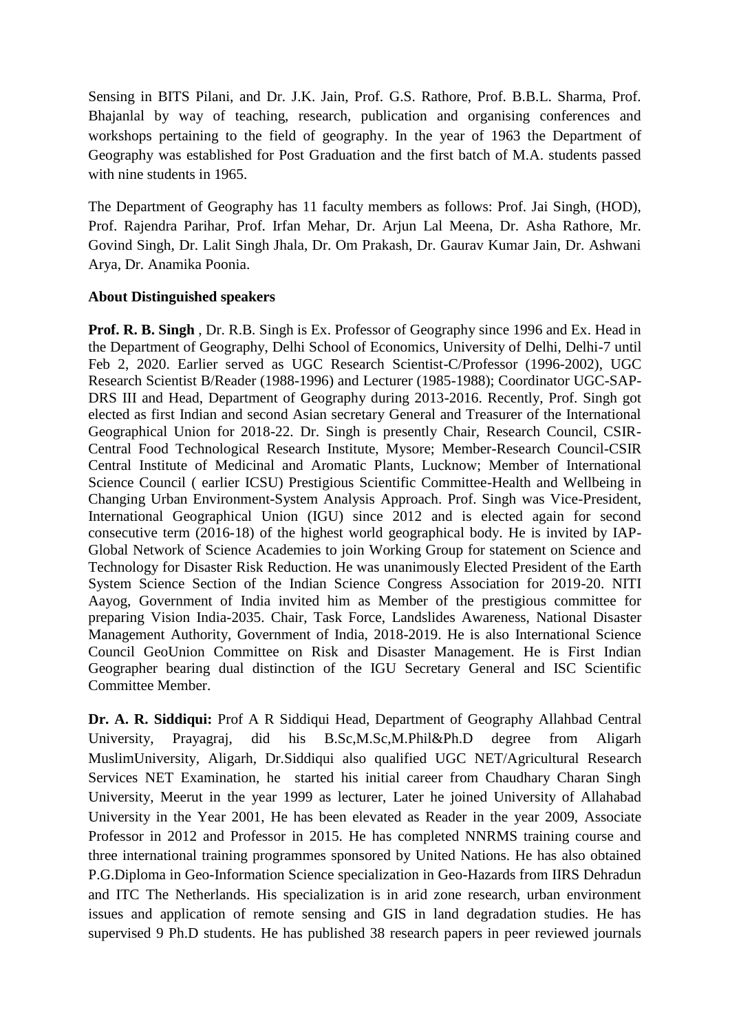Sensing in BITS Pilani, and Dr. J.K. Jain, Prof. G.S. Rathore, Prof. B.B.L. Sharma, Prof. Bhajanlal by way of teaching, research, publication and organising conferences and workshops pertaining to the field of geography. In the year of 1963 the Department of Geography was established for Post Graduation and the first batch of M.A. students passed with nine students in 1965.

The Department of Geography has 11 faculty members as follows: Prof. Jai Singh, (HOD), Prof. Rajendra Parihar, Prof. Irfan Mehar, Dr. Arjun Lal Meena, Dr. Asha Rathore, Mr. Govind Singh, Dr. Lalit Singh Jhala, Dr. Om Prakash, Dr. Gaurav Kumar Jain, Dr. Ashwani Arya, Dr. Anamika Poonia.

#### **About Distinguished speakers**

**Prof. R. B. Singh** , Dr. R.B. Singh is Ex. Professor of Geography since 1996 and Ex. Head in the Department of Geography, Delhi School of Economics, University of Delhi, Delhi-7 until Feb 2, 2020. Earlier served as UGC Research Scientist-C/Professor (1996-2002), UGC Research Scientist B/Reader (1988-1996) and Lecturer (1985-1988); Coordinator UGC-SAP-DRS III and Head, Department of Geography during 2013-2016. Recently, Prof. Singh got elected as first Indian and second Asian secretary General and Treasurer of the International Geographical Union for 2018-22. Dr. Singh is presently Chair, Research Council, CSIR-Central Food Technological Research Institute, Mysore; Member-Research Council-CSIR Central Institute of Medicinal and Aromatic Plants, Lucknow; Member of International Science Council ( earlier ICSU) Prestigious Scientific Committee-Health and Wellbeing in Changing Urban Environment-System Analysis Approach. Prof. Singh was Vice-President, International Geographical Union (IGU) since 2012 and is elected again for second consecutive term (2016-18) of the highest world geographical body. He is invited by IAP-Global Network of Science Academies to join Working Group for statement on Science and Technology for Disaster Risk Reduction. He was unanimously Elected President of the Earth System Science Section of the Indian Science Congress Association for 2019-20. NITI Aayog, Government of India invited him as Member of the prestigious committee for preparing Vision India-2035. Chair, Task Force, Landslides Awareness, National Disaster Management Authority, Government of India, 2018-2019. He is also International Science Council GeoUnion Committee on Risk and Disaster Management. He is First Indian Geographer bearing dual distinction of the IGU Secretary General and ISC Scientific Committee Member.

**Dr. A. R. Siddiqui:** Prof A R Siddiqui Head, Department of Geography Allahbad Central University, Prayagraj, did his B.Sc,M.Sc,M.Phil&Ph.D degree from Aligarh MuslimUniversity, Aligarh, Dr.Siddiqui also qualified UGC NET/Agricultural Research Services NET Examination, he started his initial career from Chaudhary Charan Singh University, Meerut in the year 1999 as lecturer, Later he joined University of Allahabad University in the Year 2001, He has been elevated as Reader in the year 2009, Associate Professor in 2012 and Professor in 2015. He has completed NNRMS training course and three international training programmes sponsored by United Nations. He has also obtained P.G.Diploma in Geo-Information Science specialization in Geo-Hazards from IIRS Dehradun and ITC The Netherlands. His specialization is in arid zone research, urban environment issues and application of remote sensing and GIS in land degradation studies. He has supervised 9 Ph.D students. He has published 38 research papers in peer reviewed journals